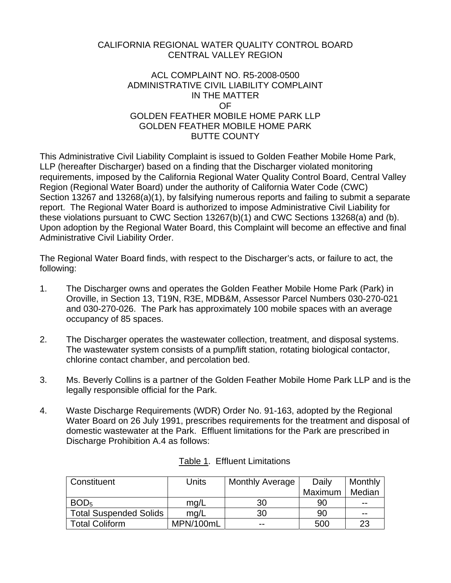## CALIFORNIA REGIONAL WATER QUALITY CONTROL BOARD CENTRAL VALLEY REGION

## ACL COMPLAINT NO. R5-2008-0500 ADMINISTRATIVE CIVIL LIABILITY COMPLAINT IN THE MATTER OF GOLDEN FEATHER MOBILE HOME PARK LLP GOLDEN FEATHER MOBILE HOME PARK BUTTE COUNTY

This Administrative Civil Liability Complaint is issued to Golden Feather Mobile Home Park, LLP (hereafter Discharger) based on a finding that the Discharger violated monitoring requirements, imposed by the California Regional Water Quality Control Board, Central Valley Region (Regional Water Board) under the authority of California Water Code (CWC) Section 13267 and 13268(a)(1), by falsifying numerous reports and failing to submit a separate report. The Regional Water Board is authorized to impose Administrative Civil Liability for these violations pursuant to CWC Section 13267(b)(1) and CWC Sections 13268(a) and (b). Upon adoption by the Regional Water Board, this Complaint will become an effective and final Administrative Civil Liability Order.

The Regional Water Board finds, with respect to the Discharger's acts, or failure to act, the following:

- 1. The Discharger owns and operates the Golden Feather Mobile Home Park (Park) in Oroville, in Section 13, T19N, R3E, MDB&M, Assessor Parcel Numbers 030-270-021 and 030-270-026. The Park has approximately 100 mobile spaces with an average occupancy of 85 spaces.
- 2. The Discharger operates the wastewater collection, treatment, and disposal systems. The wastewater system consists of a pump/lift station, rotating biological contactor, chlorine contact chamber, and percolation bed.
- 3. Ms. Beverly Collins is a partner of the Golden Feather Mobile Home Park LLP and is the legally responsible official for the Park.
- 4. Waste Discharge Requirements (WDR) Order No. 91-163, adopted by the Regional Water Board on 26 July 1991, prescribes requirements for the treatment and disposal of domestic wastewater at the Park. Effluent limitations for the Park are prescribed in Discharge Prohibition A.4 as follows:

| Constituent                   | Units     | <b>Monthly Average</b> | Daily   | Monthly |
|-------------------------------|-----------|------------------------|---------|---------|
|                               |           |                        | Maximum | Median  |
| BOD <sub>5</sub>              | mg/L      | 30                     | 90      | $- -$   |
| <b>Total Suspended Solids</b> | mg/L      | 30                     | 90      | $- -$   |
| Total Coliform                | MPN/100mL | $- -$                  | 500     | 23      |

# Table 1. Effluent Limitations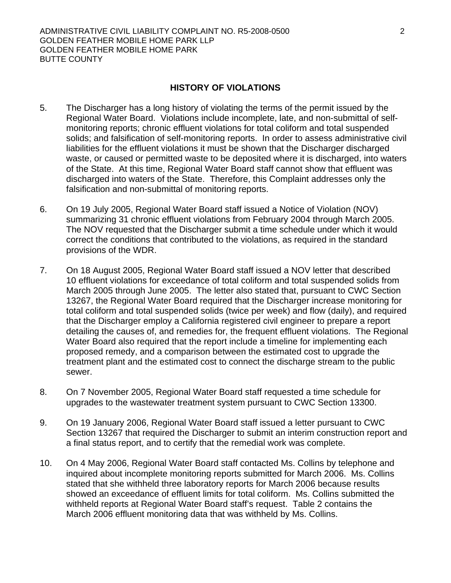#### **HISTORY OF VIOLATIONS**

- 5. The Discharger has a long history of violating the terms of the permit issued by the Regional Water Board. Violations include incomplete, late, and non-submittal of selfmonitoring reports; chronic effluent violations for total coliform and total suspended solids; and falsification of self-monitoring reports. In order to assess administrative civil liabilities for the effluent violations it must be shown that the Discharger discharged waste, or caused or permitted waste to be deposited where it is discharged, into waters of the State. At this time, Regional Water Board staff cannot show that effluent was discharged into waters of the State. Therefore, this Complaint addresses only the falsification and non-submittal of monitoring reports.
- 6. On 19 July 2005, Regional Water Board staff issued a Notice of Violation (NOV) summarizing 31 chronic effluent violations from February 2004 through March 2005. The NOV requested that the Discharger submit a time schedule under which it would correct the conditions that contributed to the violations, as required in the standard provisions of the WDR.
- 7. On 18 August 2005, Regional Water Board staff issued a NOV letter that described 10 effluent violations for exceedance of total coliform and total suspended solids from March 2005 through June 2005. The letter also stated that, pursuant to CWC Section 13267, the Regional Water Board required that the Discharger increase monitoring for total coliform and total suspended solids (twice per week) and flow (daily), and required that the Discharger employ a California registered civil engineer to prepare a report detailing the causes of, and remedies for, the frequent effluent violations. The Regional Water Board also required that the report include a timeline for implementing each proposed remedy, and a comparison between the estimated cost to upgrade the treatment plant and the estimated cost to connect the discharge stream to the public sewer.
- 8. On 7 November 2005, Regional Water Board staff requested a time schedule for upgrades to the wastewater treatment system pursuant to CWC Section 13300.
- 9. On 19 January 2006, Regional Water Board staff issued a letter pursuant to CWC Section 13267 that required the Discharger to submit an interim construction report and a final status report, and to certify that the remedial work was complete.
- 10. On 4 May 2006, Regional Water Board staff contacted Ms. Collins by telephone and inquired about incomplete monitoring reports submitted for March 2006. Ms. Collins stated that she withheld three laboratory reports for March 2006 because results showed an exceedance of effluent limits for total coliform. Ms. Collins submitted the withheld reports at Regional Water Board staff's request. Table 2 contains the March 2006 effluent monitoring data that was withheld by Ms. Collins.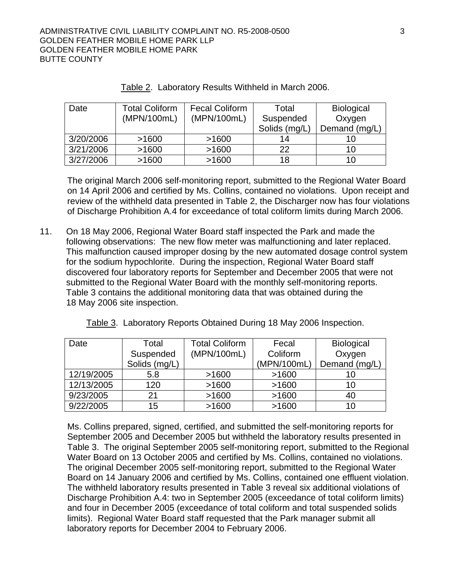| Date      | <b>Total Coliform</b> | <b>Fecal Coliform</b> | Total         | <b>Biological</b> |
|-----------|-----------------------|-----------------------|---------------|-------------------|
|           | (MPN/100mL)           | (MPN/100mL)           | Suspended     | Oxygen            |
|           |                       |                       | Solids (mg/L) | Demand (mg/L)     |
| 3/20/2006 | >1600                 | >1600                 | 14            | 10                |
| 3/21/2006 | >1600                 | >1600                 | 22            | 10                |
| 3/27/2006 | >1600                 | >1600                 | 18            | 10                |

The original March 2006 self-monitoring report, submitted to the Regional Water Board on 14 April 2006 and certified by Ms. Collins, contained no violations. Upon receipt and review of the withheld data presented in Table 2, the Discharger now has four violations of Discharge Prohibition A.4 for exceedance of total coliform limits during March 2006.

11. On 18 May 2006, Regional Water Board staff inspected the Park and made the following observations: The new flow meter was malfunctioning and later replaced. This malfunction caused improper dosing by the new automated dosage control system for the sodium hypochlorite. During the inspection, Regional Water Board staff discovered four laboratory reports for September and December 2005 that were not submitted to the Regional Water Board with the monthly self-monitoring reports. Table 3 contains the additional monitoring data that was obtained during the 18 May 2006 site inspection.

| Date       | Total         | <b>Total Coliform</b> | Fecal       | <b>Biological</b> |
|------------|---------------|-----------------------|-------------|-------------------|
|            | Suspended     | (MPN/100mL)           | Coliform    | Oxygen            |
|            | Solids (mg/L) |                       | (MPN/100mL) | Demand (mg/L)     |
| 12/19/2005 | 5.8           | >1600                 | >1600       | 10                |
| 12/13/2005 | 120           | >1600                 | >1600       | 10                |
| 9/23/2005  | 21            | >1600                 | >1600       | 40                |
| 9/22/2005  | 15            | >1600                 | >1600       | 10                |

Table 3. Laboratory Reports Obtained During 18 May 2006 Inspection.

Ms. Collins prepared, signed, certified, and submitted the self-monitoring reports for September 2005 and December 2005 but withheld the laboratory results presented in Table 3. The original September 2005 self-monitoring report, submitted to the Regional Water Board on 13 October 2005 and certified by Ms. Collins, contained no violations. The original December 2005 self-monitoring report, submitted to the Regional Water Board on 14 January 2006 and certified by Ms. Collins, contained one effluent violation. The withheld laboratory results presented in Table 3 reveal six additional violations of Discharge Prohibition A.4: two in September 2005 (exceedance of total coliform limits) and four in December 2005 (exceedance of total coliform and total suspended solids limits). Regional Water Board staff requested that the Park manager submit all laboratory reports for December 2004 to February 2006.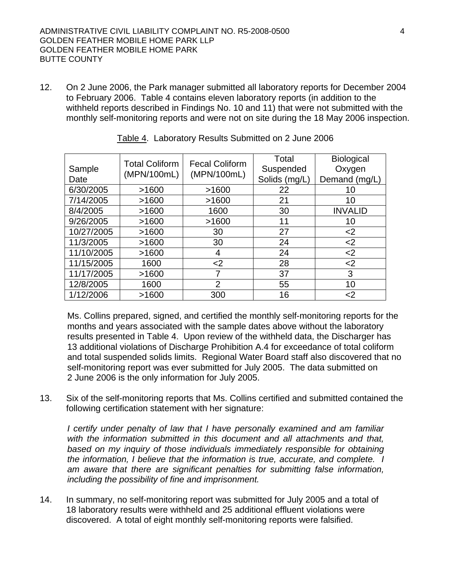12. On 2 June 2006, the Park manager submitted all laboratory reports for December 2004 to February 2006. Table 4 contains eleven laboratory reports (in addition to the withheld reports described in Findings No. 10 and 11) that were not submitted with the monthly self-monitoring reports and were not on site during the 18 May 2006 inspection.

| Sample<br>Date | <b>Total Coliform</b><br>(MPN/100mL) | <b>Fecal Coliform</b><br>(MPN/100mL) | Total<br>Suspended<br>Solids (mg/L) | <b>Biological</b><br>Oxygen<br>Demand (mg/L) |
|----------------|--------------------------------------|--------------------------------------|-------------------------------------|----------------------------------------------|
| 6/30/2005      | >1600                                | >1600                                | 22                                  | 10                                           |
| 7/14/2005      | >1600                                | >1600                                | 21                                  | 10                                           |
| 8/4/2005       | >1600                                | 1600                                 | 30                                  | <b>INVALID</b>                               |
| 9/26/2005      | >1600                                | >1600                                | 11                                  | 10                                           |
| 10/27/2005     | >1600                                | 30                                   | 27                                  | $<$ 2                                        |
| 11/3/2005      | >1600                                | 30                                   | 24                                  | $<$ 2                                        |
| 11/10/2005     | >1600                                | 4                                    | 24                                  | $2$                                          |
| 11/15/2005     | 1600                                 | $2$                                  | 28                                  | $2$                                          |
| 11/17/2005     | >1600                                | 7                                    | 37                                  | 3                                            |
| 12/8/2005      | 1600                                 | 2                                    | 55                                  | 10                                           |
| 1/12/2006      | >1600                                | 300                                  | 16                                  | $<$ 2                                        |

|  |  | Table 4. Laboratory Results Submitted on 2 June 2006 |  |
|--|--|------------------------------------------------------|--|
|  |  |                                                      |  |

Ms. Collins prepared, signed, and certified the monthly self-monitoring reports for the months and years associated with the sample dates above without the laboratory results presented in Table 4. Upon review of the withheld data, the Discharger has 13 additional violations of Discharge Prohibition A.4 for exceedance of total coliform and total suspended solids limits. Regional Water Board staff also discovered that no self-monitoring report was ever submitted for July 2005. The data submitted on 2 June 2006 is the only information for July 2005.

13. Six of the self-monitoring reports that Ms. Collins certified and submitted contained the following certification statement with her signature:

*I certify under penalty of law that I have personally examined and am familiar with the information submitted in this document and all attachments and that,*  based on my inquiry of those individuals immediately responsible for obtaining *the information, I believe that the information is true, accurate, and complete. I am aware that there are significant penalties for submitting false information, including the possibility of fine and imprisonment.* 

14. In summary, no self-monitoring report was submitted for July 2005 and a total of 18 laboratory results were withheld and 25 additional effluent violations were discovered. A total of eight monthly self-monitoring reports were falsified.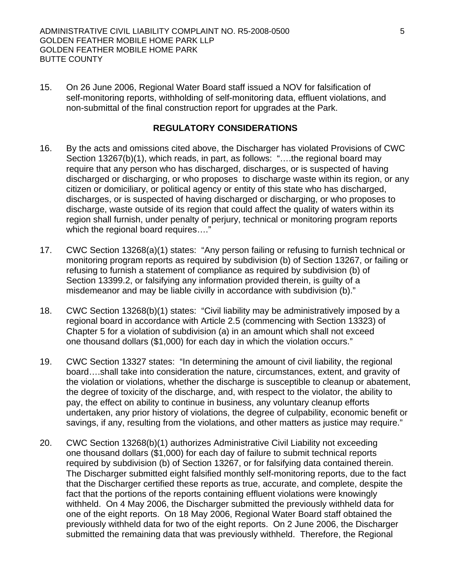15. On 26 June 2006, Regional Water Board staff issued a NOV for falsification of self-monitoring reports, withholding of self-monitoring data, effluent violations, and non-submittal of the final construction report for upgrades at the Park.

## **REGULATORY CONSIDERATIONS**

- 16. By the acts and omissions cited above, the Discharger has violated Provisions of CWC Section 13267(b)(1), which reads, in part, as follows: "….the regional board may require that any person who has discharged, discharges, or is suspected of having discharged or discharging, or who proposes to discharge waste within its region, or any citizen or domiciliary, or political agency or entity of this state who has discharged, discharges, or is suspected of having discharged or discharging, or who proposes to discharge, waste outside of its region that could affect the quality of waters within its region shall furnish, under penalty of perjury, technical or monitoring program reports which the regional board requires...."
- 17. CWC Section 13268(a)(1) states: "Any person failing or refusing to furnish technical or monitoring program reports as required by subdivision (b) of Section 13267, or failing or refusing to furnish a statement of compliance as required by subdivision (b) of Section 13399.2, or falsifying any information provided therein, is guilty of a misdemeanor and may be liable civilly in accordance with subdivision (b)."
- 18. CWC Section 13268(b)(1) states: "Civil liability may be administratively imposed by a regional board in accordance with Article 2.5 (commencing with Section 13323) of Chapter 5 for a violation of subdivision (a) in an amount which shall not exceed one thousand dollars (\$1,000) for each day in which the violation occurs."
- 19. CWC Section 13327 states: "In determining the amount of civil liability, the regional board….shall take into consideration the nature, circumstances, extent, and gravity of the violation or violations, whether the discharge is susceptible to cleanup or abatement, the degree of toxicity of the discharge, and, with respect to the violator, the ability to pay, the effect on ability to continue in business, any voluntary cleanup efforts undertaken, any prior history of violations, the degree of culpability, economic benefit or savings, if any, resulting from the violations, and other matters as justice may require."
- 20. CWC Section 13268(b)(1) authorizes Administrative Civil Liability not exceeding one thousand dollars (\$1,000) for each day of failure to submit technical reports required by subdivision (b) of Section 13267, or for falsifying data contained therein. The Discharger submitted eight falsified monthly self-monitoring reports, due to the fact that the Discharger certified these reports as true, accurate, and complete, despite the fact that the portions of the reports containing effluent violations were knowingly withheld. On 4 May 2006, the Discharger submitted the previously withheld data for one of the eight reports. On 18 May 2006, Regional Water Board staff obtained the previously withheld data for two of the eight reports. On 2 June 2006, the Discharger submitted the remaining data that was previously withheld. Therefore, the Regional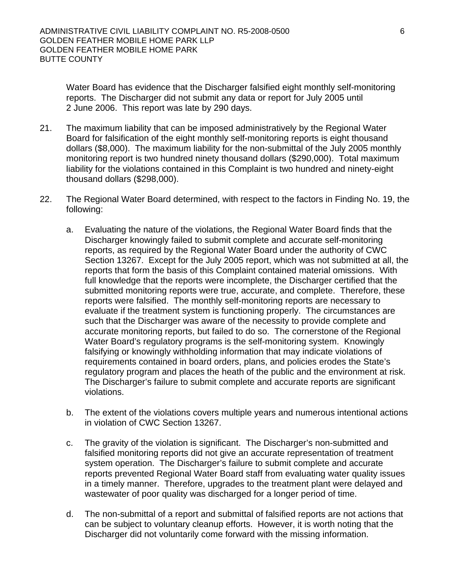Water Board has evidence that the Discharger falsified eight monthly self-monitoring reports. The Discharger did not submit any data or report for July 2005 until 2 June 2006. This report was late by 290 days.

- 21. The maximum liability that can be imposed administratively by the Regional Water Board for falsification of the eight monthly self-monitoring reports is eight thousand dollars (\$8,000). The maximum liability for the non-submittal of the July 2005 monthly monitoring report is two hundred ninety thousand dollars (\$290,000). Total maximum liability for the violations contained in this Complaint is two hundred and ninety-eight thousand dollars (\$298,000).
- 22. The Regional Water Board determined, with respect to the factors in Finding No. 19, the following:
	- a. Evaluating the nature of the violations, the Regional Water Board finds that the Discharger knowingly failed to submit complete and accurate self-monitoring reports, as required by the Regional Water Board under the authority of CWC Section 13267. Except for the July 2005 report, which was not submitted at all, the reports that form the basis of this Complaint contained material omissions. With full knowledge that the reports were incomplete, the Discharger certified that the submitted monitoring reports were true, accurate, and complete. Therefore, these reports were falsified. The monthly self-monitoring reports are necessary to evaluate if the treatment system is functioning properly. The circumstances are such that the Discharger was aware of the necessity to provide complete and accurate monitoring reports, but failed to do so. The cornerstone of the Regional Water Board's regulatory programs is the self-monitoring system. Knowingly falsifying or knowingly withholding information that may indicate violations of requirements contained in board orders, plans, and policies erodes the State's regulatory program and places the heath of the public and the environment at risk. The Discharger's failure to submit complete and accurate reports are significant violations.
	- b. The extent of the violations covers multiple years and numerous intentional actions in violation of CWC Section 13267.
	- c. The gravity of the violation is significant. The Discharger's non-submitted and falsified monitoring reports did not give an accurate representation of treatment system operation. The Discharger's failure to submit complete and accurate reports prevented Regional Water Board staff from evaluating water quality issues in a timely manner. Therefore, upgrades to the treatment plant were delayed and wastewater of poor quality was discharged for a longer period of time.
	- d. The non-submittal of a report and submittal of falsified reports are not actions that can be subject to voluntary cleanup efforts. However, it is worth noting that the Discharger did not voluntarily come forward with the missing information.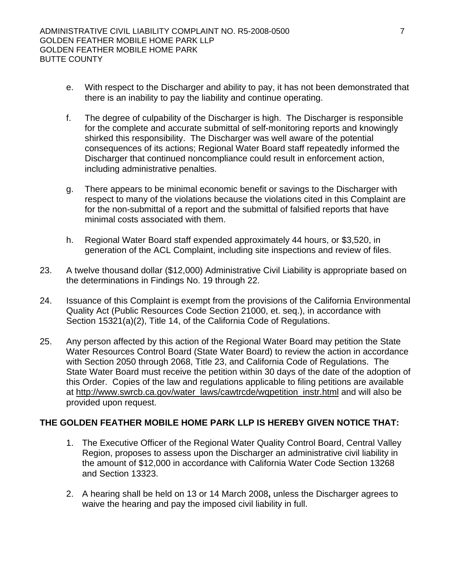- e. With respect to the Discharger and ability to pay, it has not been demonstrated that there is an inability to pay the liability and continue operating.
- f. The degree of culpability of the Discharger is high. The Discharger is responsible for the complete and accurate submittal of self-monitoring reports and knowingly shirked this responsibility. The Discharger was well aware of the potential consequences of its actions; Regional Water Board staff repeatedly informed the Discharger that continued noncompliance could result in enforcement action, including administrative penalties.
- g. There appears to be minimal economic benefit or savings to the Discharger with respect to many of the violations because the violations cited in this Complaint are for the non-submittal of a report and the submittal of falsified reports that have minimal costs associated with them.
- h. Regional Water Board staff expended approximately 44 hours, or \$3,520, in generation of the ACL Complaint, including site inspections and review of files.
- 23. A twelve thousand dollar (\$12,000) Administrative Civil Liability is appropriate based on the determinations in Findings No. 19 through 22.
- 24. Issuance of this Complaint is exempt from the provisions of the California Environmental Quality Act (Public Resources Code Section 21000, et. seq.), in accordance with Section 15321(a)(2), Title 14, of the California Code of Regulations.
- 25. Any person affected by this action of the Regional Water Board may petition the State Water Resources Control Board (State Water Board) to review the action in accordance with Section 2050 through 2068, Title 23, and California Code of Regulations. The State Water Board must receive the petition within 30 days of the date of the adoption of this Order. Copies of the law and regulations applicable to filing petitions are available at http://www.swrcb.ca.gov/water\_laws/cawtrcde/wqpetition\_instr.html and will also be provided upon request.

# **THE GOLDEN FEATHER MOBILE HOME PARK LLP IS HEREBY GIVEN NOTICE THAT:**

- 1. The Executive Officer of the Regional Water Quality Control Board, Central Valley Region, proposes to assess upon the Discharger an administrative civil liability in the amount of \$12,000 in accordance with California Water Code Section 13268 and Section 13323.
- 2. A hearing shall be held on 13 or 14 March 2008**,** unless the Discharger agrees to waive the hearing and pay the imposed civil liability in full.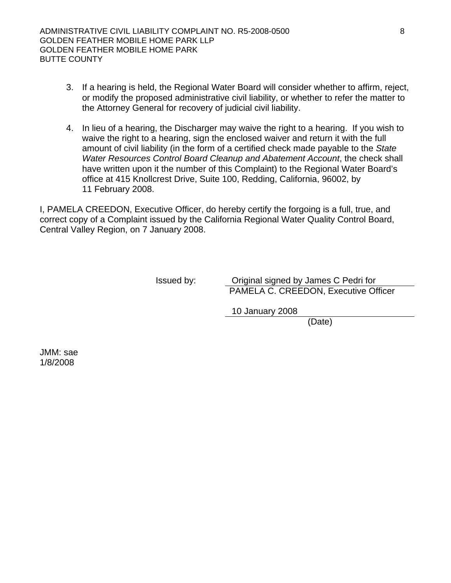- 3. If a hearing is held, the Regional Water Board will consider whether to affirm, reject, or modify the proposed administrative civil liability, or whether to refer the matter to the Attorney General for recovery of judicial civil liability.
- 4. In lieu of a hearing, the Discharger may waive the right to a hearing. If you wish to waive the right to a hearing, sign the enclosed waiver and return it with the full amount of civil liability (in the form of a certified check made payable to the *State Water Resources Control Board Cleanup and Abatement Account*, the check shall have written upon it the number of this Complaint) to the Regional Water Board's office at 415 Knollcrest Drive, Suite 100, Redding, California, 96002, by 11 February 2008.

I, PAMELA CREEDON, Executive Officer, do hereby certify the forgoing is a full, true, and correct copy of a Complaint issued by the California Regional Water Quality Control Board, Central Valley Region, on 7 January 2008.

Issued by: Original signed by James C Pedri for PAMELA C. CREEDON, Executive Officer

10 January 2008

(Date)

JMM: sae 1/8/2008